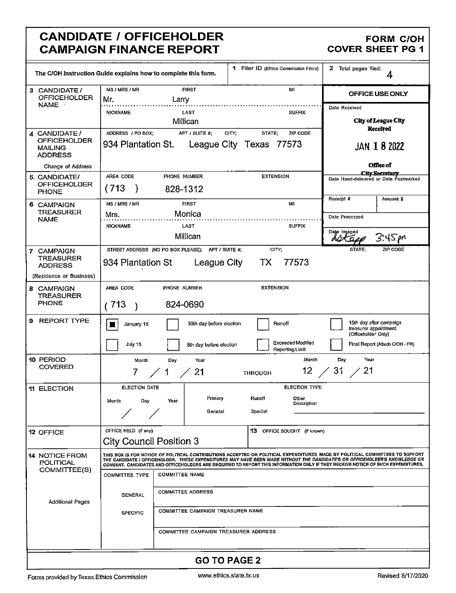# **CANDIDATE / OFFICEHOLDER** CANDIDATE / OFFICEHOLDER<br>CAMPAIGN FINANCE REPORT COVER SHEET PG 1

| The C/OH Instruction Guide explains how to complete this form.   |                                                                                                                                                                                                                                                                                                                                                                                               |                                                   | 1 Filer ID (Ethics Commission Filers)                  | 2 Total pages filed:<br>4                                               |  |  |  |
|------------------------------------------------------------------|-----------------------------------------------------------------------------------------------------------------------------------------------------------------------------------------------------------------------------------------------------------------------------------------------------------------------------------------------------------------------------------------------|---------------------------------------------------|--------------------------------------------------------|-------------------------------------------------------------------------|--|--|--|
| 3 CANDIDATE /<br><b>OFFICEHOLDER</b>                             | <b>MS/MRS/MR</b><br>Mr.                                                                                                                                                                                                                                                                                                                                                                       | <b>FIRST</b><br>Larry                             | MI                                                     | OFFICE USE ONLY                                                         |  |  |  |
| NAME ·                                                           | <b>NICKNAME</b>                                                                                                                                                                                                                                                                                                                                                                               | LAST<br>Millican                                  | <b>SUFFIX</b>                                          | Date Received<br><b>City of League City</b><br><b>Received</b>          |  |  |  |
| 4 CANDIDATE/<br><b>OFFICEHOLDER</b><br>MAILING<br><b>ADDRESS</b> | ADDRESS / PO BOX:<br>934 Plantation St.                                                                                                                                                                                                                                                                                                                                                       | APT / SUITE #:                                    | CITY:<br>STATE:<br>ZIP CODE<br>League City Texas 77573 | <b>JAN 1 8 2022</b>                                                     |  |  |  |
| <b>Change of Address</b>                                         |                                                                                                                                                                                                                                                                                                                                                                                               |                                                   |                                                        | <b>Office of</b><br><b>City Secretary</b>                               |  |  |  |
| 5 CANDIDATE/<br><b>OFFICEHOLDER</b><br><b>PHONE</b>              | AREA CODE<br>(713)                                                                                                                                                                                                                                                                                                                                                                            | PHONE NUMBER<br>828-1312                          | <b>EXTENSION</b>                                       | Date Hand-delivered or Date Postmarked<br>Receipt #<br>Amount \$        |  |  |  |
| 6 CAMPAIGN<br><b>TREASURER</b>                                   | MS / MRS / MR<br>Mrs.                                                                                                                                                                                                                                                                                                                                                                         | <b>FIRST</b><br>Monica                            | MI                                                     | Date Processed                                                          |  |  |  |
| <b>NAME</b>                                                      | <b>NICKNAME</b>                                                                                                                                                                                                                                                                                                                                                                               | <b>LAST</b>                                       | <b>SUFFIX</b>                                          |                                                                         |  |  |  |
|                                                                  |                                                                                                                                                                                                                                                                                                                                                                                               | Millican                                          |                                                        | Date Imaged<br>3:45 pa<br>NI C.I.I                                      |  |  |  |
| 7 CAMPAIGN                                                       |                                                                                                                                                                                                                                                                                                                                                                                               | STREET ADDRESS (NO PO BOX PLEASE); APT / SUITE #; | CITY:                                                  | ZIP CODE<br>STATE:                                                      |  |  |  |
| <b>TREASURER</b><br><b>ADDRESS</b><br>(Residence or Business)    | 934 Plantation St                                                                                                                                                                                                                                                                                                                                                                             | League City                                       | TХ<br>77573                                            |                                                                         |  |  |  |
| 8 CAMPAIGN                                                       | AREA CODE                                                                                                                                                                                                                                                                                                                                                                                     | PHONE NUMBER                                      | <b>EXTENSION</b>                                       |                                                                         |  |  |  |
| <b>TREASURER</b><br><b>PHONE</b>                                 | 824-0690<br>713                                                                                                                                                                                                                                                                                                                                                                               |                                                   |                                                        |                                                                         |  |  |  |
| <b>REPORT TYPE</b><br>9                                          | January 15                                                                                                                                                                                                                                                                                                                                                                                    | 30th day before election                          | Runoff                                                 | 15th day after campaign<br>treasurer appointment<br>(Officeholder Only) |  |  |  |
|                                                                  | July 15                                                                                                                                                                                                                                                                                                                                                                                       | 8th day before election                           | Exceeded Modified<br>Reporting Limit                   | Final Report (Attach C/OH - FR)                                         |  |  |  |
| 10 PERIOD                                                        | Month                                                                                                                                                                                                                                                                                                                                                                                         | Day<br>Year                                       | Month                                                  | Day<br>Year                                                             |  |  |  |
| <b>COVERED</b>                                                   |                                                                                                                                                                                                                                                                                                                                                                                               | 21<br>1                                           | 12<br><b>THROUGH</b>                                   | 31<br>21                                                                |  |  |  |
| <b>11 ELECTION</b>                                               | ELECTION DATE                                                                                                                                                                                                                                                                                                                                                                                 |                                                   | <b>ELECTION TYPE</b>                                   |                                                                         |  |  |  |
|                                                                  | Month<br>Day                                                                                                                                                                                                                                                                                                                                                                                  | Primary<br>Year                                   | Other<br>Runoff<br>Description                         |                                                                         |  |  |  |
|                                                                  |                                                                                                                                                                                                                                                                                                                                                                                               | General                                           | Special                                                |                                                                         |  |  |  |
| <b>12 OFFICE</b>                                                 | OFFICE HELD (if any)                                                                                                                                                                                                                                                                                                                                                                          |                                                   | 13 OFFICE SOUGHT (if known)                            |                                                                         |  |  |  |
|                                                                  | <b>City Council Position 3</b>                                                                                                                                                                                                                                                                                                                                                                |                                                   |                                                        |                                                                         |  |  |  |
| <b>14 NOTICE FROM</b><br><b>POLITICAL</b>                        | THIS BOX IS FOR NOTICE OF POLITICAL CONTRIBUTIONS ACCEPTED OR POLITICAL EXPENDITURES MADE BY POLITICAL COMMITTEES TO SUPPORT<br>THE CANDIDATE I OFFICEHOLDER, THESE EXPENDITURES MAY HAVE BEEN MADE WITHOUT THE CANDIDATE'S OR OFFICEHOLDER'S KNOWLEDGE OR<br>CONSENT, CANDIDATES AND OFFICEHOLDERS ARE REQUIRED TO REPORT THIS INFORMATION ONLY IF THEY RECEIVE NOTICE OF SUCH EXPENDITURES, |                                                   |                                                        |                                                                         |  |  |  |
| COMMITTEE(S)                                                     | <b>COMMITTEE TYPE</b>                                                                                                                                                                                                                                                                                                                                                                         | <b>COMMITTEE NAME</b>                             |                                                        |                                                                         |  |  |  |
| <b>Additional Pages</b>                                          | <b>GENERAL</b>                                                                                                                                                                                                                                                                                                                                                                                | <b>COMMITTEE ADDRESS</b>                          |                                                        |                                                                         |  |  |  |
|                                                                  | COMMITTEE CAMPAIGN TREASURER NAME<br><b>SPECIFIC</b>                                                                                                                                                                                                                                                                                                                                          |                                                   |                                                        |                                                                         |  |  |  |
| <b>COMMITTEE CAMPAIGN TREASURER ADDRESS</b>                      |                                                                                                                                                                                                                                                                                                                                                                                               |                                                   |                                                        |                                                                         |  |  |  |
| <b>GO TO PAGE 2</b>                                              |                                                                                                                                                                                                                                                                                                                                                                                               |                                                   |                                                        |                                                                         |  |  |  |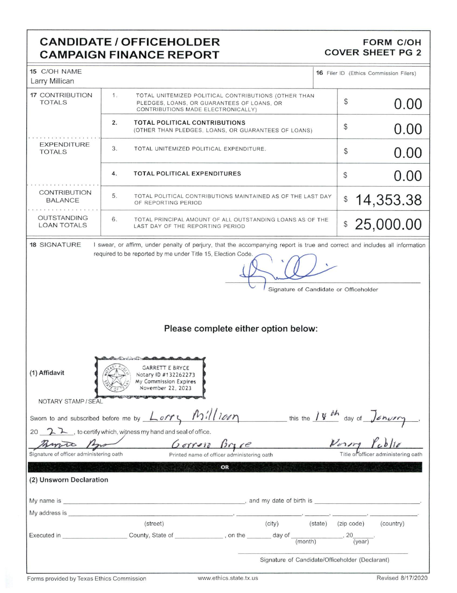## **CANDIDATE / OFFICEHOLDER CAMPAIGN FINANCE REPORT**

### **FORM C/OH** COVER SHEET PG 2

| 16 Filer ID (Ethics Commission Filers)                                                                                      |
|-----------------------------------------------------------------------------------------------------------------------------|
| TOTAL UNITEMIZED POLITICAL CONTRIBUTIONS (OTHER THAN<br>\$<br>0.00                                                          |
| $$\mathbb{S}$$<br>0.00<br>(OTHER THAN PLEDGES, LOANS, OR GUARANTEES OF LOANS)                                               |
| \$<br>0.00                                                                                                                  |
| 0.00<br>S                                                                                                                   |
| TOTAL POLITICAL CONTRIBUTIONS MAINTAINED AS OF THE LAST DAY<br>14,353.38<br>\$                                              |
| TOTAL PRINCIPAL AMOUNT OF ALL OUTSTANDING LOANS AS OF THE<br>\$25,000.00                                                    |
| Please complete either option below:                                                                                        |
| Signature of Candidate or Officeholder                                                                                      |
|                                                                                                                             |
|                                                                                                                             |
| this the $14th$ day of Johnson                                                                                              |
| Vorm                                                                                                                        |
| Title of officer administering oath                                                                                         |
|                                                                                                                             |
|                                                                                                                             |
| (city)<br>(state) (zip code)<br>(country)                                                                                   |
|                                                                                                                             |
| Signature of Candidate/Officeholder (Declarant)                                                                             |
| I swear, or affirm, under penalty of perjury, that the accompanying report is true and correct and includes all information |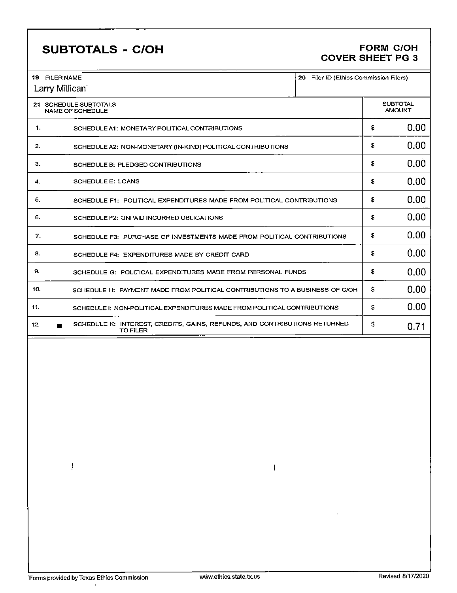## SUBTOTALS - C/OH

### **FORM C/OH** COVER SHEET PG 3

| FILER NAME<br>19.<br>Larry Millican                                                |                                                                                              | Filer ID (Ethics Commission Filers)<br>20 |                                  |      |
|------------------------------------------------------------------------------------|----------------------------------------------------------------------------------------------|-------------------------------------------|----------------------------------|------|
| 21 SCHEDULE SUBTOTALS<br>NAME OF SCHEDULE                                          |                                                                                              |                                           | <b>SUBTOTAL</b><br><b>AMOUNT</b> |      |
| 1.<br>SCHEDULE A1: MONETARY POLITICAL CONTRIBUTIONS                                |                                                                                              |                                           | \$                               | 0.00 |
| 2.<br>SCHEDULE A2: NON-MONETARY (IN-KIND) POLITICAL CONTRIBUTIONS                  |                                                                                              |                                           | \$                               | 0.00 |
| 3.<br>SCHEDULE B: PLEDGED CONTRIBUTIONS                                            |                                                                                              |                                           | \$                               | 0.00 |
| 4.                                                                                 | <b>SCHEDULE E: LOANS</b>                                                                     |                                           |                                  | 0.00 |
| 5.<br>SCHEDULE F1: POLITICAL EXPENDITURES MADE FROM POLITICAL CONTRIBUTIONS        |                                                                                              |                                           | \$                               | 0.00 |
| 6.<br>SCHEDULE F2: UNPAID INCURRED OBLIGATIONS                                     |                                                                                              |                                           | \$                               | 0.00 |
| 7.<br>SCHEDULE F3: PURCHASE OF INVESTMENTS MADE FROM POLITICAL CONTRIBUTIONS       |                                                                                              |                                           | \$                               | 0.00 |
| 8.<br>SCHEDULE F4: EXPENDITURES MADE BY CREDIT CARD                                |                                                                                              |                                           | \$                               | 0.00 |
| 9.                                                                                 | SCHEDULE G: POLITICAL EXPENDITURES MADE FROM PERSONAL FUNDS                                  |                                           |                                  | 0,00 |
| 10.<br>SCHEDULE H: PAYMENT MADE FROM POLITICAL CONTRIBUTIONS TO A BUSINESS OF C/OH |                                                                                              |                                           | S                                | 0.00 |
| 11.                                                                                | SCHEDULE I: NON-POLITICAL EXPENDITURES MADE FROM POLITICAL CONTRIBUTIONS                     |                                           |                                  | 0.00 |
| 12.                                                                                | SCHEDULE K: INTEREST, CREDITS, GAINS, REFUNDS, AND CONTRIBUTIONS RETURNED<br><b>TO FILER</b> |                                           |                                  | 0.71 |
|                                                                                    |                                                                                              |                                           |                                  |      |

 $\frac{1}{2}$ 

 $\frac{1}{4}$